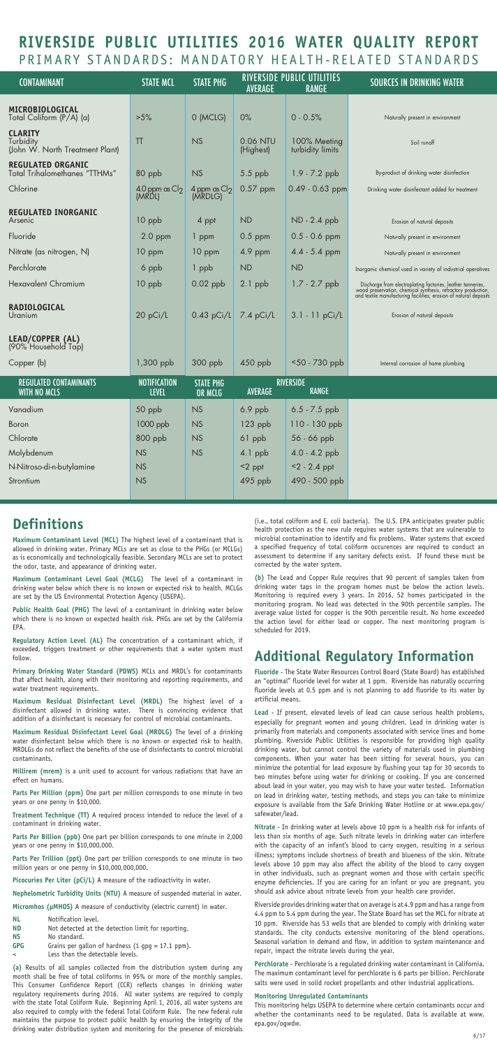# **RIVERSIDE PUBLIC UTILITIES 2016 WATER QUALITY REPORT**

PRIMARY STANDARDS: MANDATORY HEALTH-RELATED STANDARDS

| <b>CONTAMINANT</b>                                               | <b>STATE MCL</b>                    | <b>STATE PHG</b>            | <b>AVERAGE</b>        | <b>RIVERSIDE PUBLIC UTILITIES</b><br><b>RANGE</b> | <b>SOURCES IN DRINKING WATER</b>                                                                                                                                                                  |
|------------------------------------------------------------------|-------------------------------------|-----------------------------|-----------------------|---------------------------------------------------|---------------------------------------------------------------------------------------------------------------------------------------------------------------------------------------------------|
| MICROBIOLOGICAL<br>Total Coliform (P/A) (a)                      | >5%                                 | 0 (MCLG)                    | 0%                    | $0 - 0.5%$                                        | Naturally present in environment                                                                                                                                                                  |
| <b>CLARITY</b><br>Turbidity<br>(John W. North Treatment Plant)   | TT                                  | <b>NS</b>                   | 0.06 NTU<br>(Highest) | 100% Meeting<br>turbidity limits                  | Soil runoff                                                                                                                                                                                       |
| <b>REGULATED ORGANIC</b><br><b>Total Trihalomethanes "TTHMs"</b> | 80 ppb                              | <b>NS</b>                   | $5.5$ ppb             | 1.9 - 7.2 ppb                                     | By-product of drinking water disinfection                                                                                                                                                         |
| Chlorine                                                         | $4.0$ ppm as $Cl2$ (MRDL)           | 4 ppm as $Cl2$<br>(MRDLG)   | $0.57$ ppm            | $0.49 - 0.63$ ppm                                 | Drinking water disinfectant added for treatment                                                                                                                                                   |
| <b>REGULATED INORGANIC</b><br>Arsenic                            | 10 ppb                              | 4 ppt                       | <b>ND</b>             | $ND - 2.4$ ppb                                    | Erosion of natural deposits                                                                                                                                                                       |
| Fluoride                                                         | $2.0$ ppm                           | 1 ppm                       | $0.5$ ppm             | $0.5 - 0.6$ ppm                                   | Naturally present in environment                                                                                                                                                                  |
| Nitrate (as nitrogen, N)                                         | 10 ppm                              | 10 ppm                      | $4.9$ ppm             | $4.4 - 5.4$ ppm                                   | Naturally present in environment                                                                                                                                                                  |
| Perchlorate                                                      | 6 ppb                               | 1 ppb                       | <b>ND</b>             | <b>ND</b>                                         | Inorganic chemical used in variety of industrial operatives                                                                                                                                       |
| <b>Hexavalent Chromium</b>                                       | 10 ppb                              | $0.02$ ppb                  | $2.1$ ppb             | $1.7 - 2.7$ ppb                                   | Discharge from electroplating factories, leather tanneries,<br>wood preservation, chemical synthesis, refractory production,<br>and textile manufacturing facilities; erosion of natural deposits |
| <b>RADIOLOGICAL</b><br>Uranium                                   | 20 pCi/L                            | $0.43$ pCi/L                | $7.4$ pCi/L           | $3.1 - 11 pCi/L$                                  | Erosion of natural deposits                                                                                                                                                                       |
| LEAD/COPPER (AL)<br>(90% Household Tap)                          |                                     |                             |                       |                                                   |                                                                                                                                                                                                   |
| Copper (b)                                                       | $1,300$ ppb                         | $300$ ppb                   | $450$ ppb             | $50 - 730$ ppb                                    | Internal corrosion of home plumbing                                                                                                                                                               |
| <b>REGULATED CONTAMINANTS</b><br><b>WITH NO MCLS</b>             | <b>NOTIFICATION</b><br><b>LEVEL</b> | <b>STATE PHG</b><br>OR MCLG | <b>AVERAGE</b>        | <b>RIVERSIDE</b><br><b>RANGE</b>                  |                                                                                                                                                                                                   |
| Vanadium                                                         | 50 ppb                              | NS                          | $6.9$ ppb             | $6.5 - 7.5$ ppb                                   |                                                                                                                                                                                                   |
| Boron                                                            | 1000 ppb                            | <b>NS</b>                   | 123 ppb               | 110 - 130 ppb                                     |                                                                                                                                                                                                   |
| Chlorate                                                         | 800 ppb                             | <b>NS</b>                   | 61 ppb                | 56 - 66 ppb                                       |                                                                                                                                                                                                   |
| Molybdenum                                                       | <b>NS</b>                           | <b>NS</b>                   | 4.1 ppb               | $4.0 - 4.2$ ppb                                   |                                                                                                                                                                                                   |
| N-Nitroso-di-n-butylamine                                        | NS                                  |                             | $<$ 2 ppt             | $<$ 2 - 2.4 ppt                                   |                                                                                                                                                                                                   |
| Strontium                                                        | <b>NS</b>                           |                             | 495 ppb               | 490 - 500 ppb                                     |                                                                                                                                                                                                   |

### **Definitions**

**Maximum Contaminant Level (MCL)** The highest level of a contaminant that is allowed in drinking water. Primary MCLs are set as close to the PHGs (or MCLGs) as is economically and technologically feasible. Secondary MCLs are set to protect the odor, taste, and appearance of drinking water.

**Maximum Contaminant Level Goal (MCLG)** The level of a contaminant in drinking water below which there is no known or expected risk to health. MCLGs are set by the US Environmental Protection Agency (USEPA).

**Public Health Goal (PHG)** The level of a contaminant in drinking water below which there is no known or expected health risk. PHGs are set by the California EPA.

**Regulatory Action Level (AL)** The concentration of a contaminant which, if exceeded, triggers treatment or other requirements that a water system must follow.

**Primary Drinking Water Standard (PDWS)** MCLs and MRDL's for contaminants that affect health, along with their monitoring and reporting requirements, and water treatment requirements.

**Maximum Residual Disinfectant Level (MRDL)** The highest level of a disinfectant allowed in drinking water. There is convincing evidence that addition of a disinfectant is necessary for control of microbial contaminants.

**Maximum Residual Disinfectant Level Goal (MRDLG)** The level of a drinking water disinfectant below which there is no known or expected risk to health. MRDLGs do not reflect the benefits of the use of disinfectants to control microbial contaminants.

**Millirem (mrem)** is a unit used to account for various radiations that have an effect on humans.

**Parts Per Million (ppm)** One part per million corresponds to one minute in two years or one penny in \$10,000.

**Treatment Technique (TT)** A required process intended to reduce the level of a contaminant in drinking water.

**Parts Per Billion (ppb)** One part per billion corresponds to one minute in 2,000 years or one penny in \$10,000,000.

**Parts Per Trillion (ppt)** One part per trillion corresponds to one minute in two million years or one penny in \$10,000,000,000.

Picocuries Per Liter (pCi/L) A measure of the radioactivity in water.

**Nephelometric Turbidity Units (NTU)** A measure of suspended material in water. **Micromhos (µMHOS)** A measure of conductivity (electric current) in water.

- **NL** Notification level.
- **ND** Not detected at the detection limit for reporting. **NS** No standard.
- GPG Grains per gallon of hardness (1 gpg = 17.1 ppm).
- **<** Less than the detectable levels.

**(a)** Results of all samples collected from the distribution system during any month shall be free of total coliforms in 95% or more of the monthly samples. This Consumer Confidence Report (CCR) reflects changes in drinking water regulatory requirements during 2016. All water systems are required to comply with the state Total Coliform Rule. Beginning April 1, 2016, all water systems are also required to comply with the federal Total Coliform Rule. The new federal rule maintains the purpose to protect public health by ensuring the integrity of the drinking water distribution system and monitoring for the presence of microbials

(i.e., total coliform and E. coli bacteria). The U.S. EPA anticipates greater public health protection as the new rule requires water systems that are vulnerable to microbial contamination to identify and fix problems. Water systems that exceed a specified frequency of total coliform occurences are required to conduct an assessment to determine if any sanitary defects exist. If found these must be corrected by the water system.

**(b)** The Lead and Copper Rule requires that 90 percent of samples taken from drinking water taps in the program homes must be below the action levels. Monitoring is required every 3 years. In 2016, 52 homes participated in the monitoring program. No lead was detected in the 90th percentile samples. The average value listed for copper is the 90th percentile result. No home exceeded the action level for either lead or copper. The next monitoring program is scheduled for 2019.

### **Additional Regulatory Information**

**Fluoride** - The State Water Resources Control Board (State Board) has established an "optimal" fluoride level for water at 1 ppm. Riverside has naturally occurring fluoride levels at 0.5 ppm and is not planning to add fluoride to its water by artificial means.

**Lead** - If present, elevated levels of lead can cause serious health problems, especially for pregnant women and young children. Lead in drinking water is primarily from materials and components associated with service lines and home plumbing. Riverside Public Utilities is responsible for providing high quality drinking water, but cannot control the variety of materials used in plumbing components. When your water has been sitting for several hours, you can minimize the potential for lead exposure by flushing your tap for 30 seconds to two minutes before using water for drinking or cooking. If you are concerned about lead in your water, you may wish to have your water tested. Information on lead in drinking water, testing methods, and steps you can take to minimize exposure is available from the Safe Drinking Water Hotline or at www.epa.gov/ safewater/lead.

**Nitrate** - In drinking water at levels above 10 ppm is a health risk for infants of less than six months of age. Such nitrate levels in drinking water can interfere with the capacity of an infant's blood to carry oxygen, resulting in a serious illness; symptoms include shortness of breath and blueness of the skin. Nitrate levels above 10 ppm may also affect the ability of the blood to carry oxygen in other individuals, such as pregnant women and those with certain specific enzyme deficiencies. If you are caring for an infant or you are pregnant, you should ask advice about nitrate levels from your health care provider.

Riverside provides drinking water that on average is at 4.9 ppm and has a range from 4.4 ppm to 5.4 ppm during the year. The State Board has set the MCL for nitrate at 10 ppm. Riverside has 53 wells that are blended to comply with drinking water standards. The city conducts extensive monitoring of the blend operations. Seasonal variation in demand and flow, in addition to system maintenance and repair, impact the nitrate levels during the year.

**Perchlorate** - Perchlorate is a regulated drinking water contaminant in California. The maximum contaminant level for perchlorate is 6 parts per billion. Perchlorate salts were used in solid rocket propellants and other industrial applications.

#### **Monitoring Unregulated Contaminants**

This monitoring helps USEPA to determine where certain contaminants occur and whether the contaminants need to be regulated. Data is available at www. epa.gov/ogwdw.